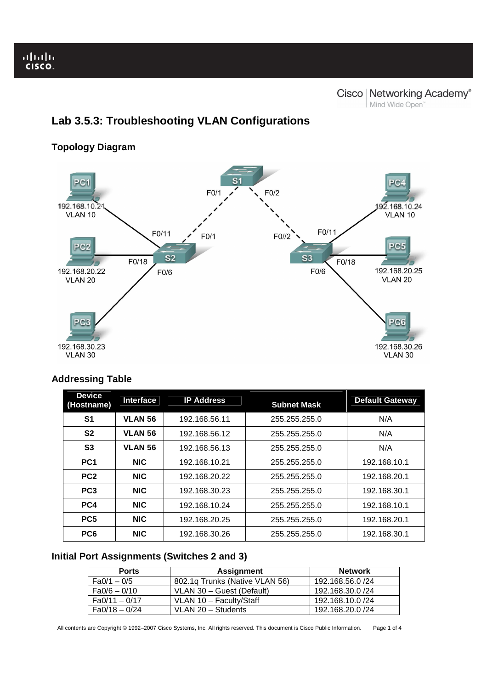# **Lab 3.5.3: Troubleshooting VLAN Configurations**

## **Topology Diagram**



## **Addressing Table**

| <b>Device</b><br>(Hostname) | <b>Interface</b> | <b>IP Address</b> | <b>Subnet Mask</b> | <b>Default Gateway</b> |
|-----------------------------|------------------|-------------------|--------------------|------------------------|
| S1                          | <b>VLAN 56</b>   | 192.168.56.11     | 255.255.255.0      | N/A                    |
| S <sub>2</sub>              | <b>VLAN 56</b>   | 192.168.56.12     | 255.255.255.0      | N/A                    |
| S <sub>3</sub>              | <b>VLAN 56</b>   | 192.168.56.13     | 255.255.255.0      | N/A                    |
| PC <sub>1</sub>             | <b>NIC</b>       | 192.168.10.21     | 255.255.255.0      | 192.168.10.1           |
| PC <sub>2</sub>             | <b>NIC</b>       | 192.168.20.22     | 255.255.255.0      | 192.168.20.1           |
| PC <sub>3</sub>             | <b>NIC</b>       | 192.168.30.23     | 255.255.255.0      | 192.168.30.1           |
| PC4                         | <b>NIC</b>       | 192.168.10.24     | 255.255.255.0      | 192.168.10.1           |
| PC <sub>5</sub>             | <b>NIC</b>       | 192.168.20.25     | 255.255.255.0      | 192.168.20.1           |
| PC <sub>6</sub>             | <b>NIC</b>       | 192.168.30.26     | 255.255.255.0      | 192.168.30.1           |

### **Initial Port Assignments (Switches 2 and 3)**

| <b>Ports</b>   | Assignment                     | <b>Network</b>   |
|----------------|--------------------------------|------------------|
| $Fa0/1 - 0/5$  | 802.1g Trunks (Native VLAN 56) | 192.168.56.0 /24 |
| $Fa0/6 - 0/10$ | VLAN 30 - Guest (Default)      |                  |
| Fa0/11 - 0/17  | VLAN 10 - Faculty/Staff        | 192.168.10.0 /24 |
| $Fa0/18-0/24$  | VLAN 20 - Students             | 192.168.20.0 /24 |

All contents are Copyright © 1992–2007 Cisco Systems, Inc. All rights reserved. This document is Cisco Public Information. Page 1 of 4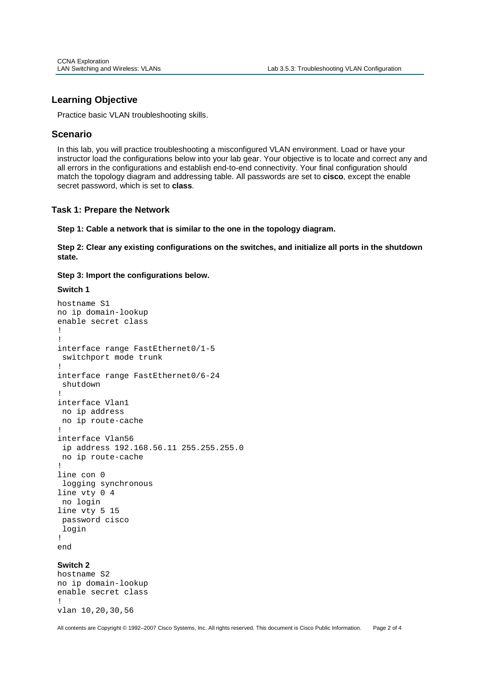#### **Learning Objective**

Practice basic VLAN troubleshooting skills.

#### **Scenario**

Ī

In this lab, you will practice troubleshooting a misconfigured VLAN environment. Load or have your instructor load the configurations below into your lab gear. Your objective is to locate and correct any and all errors in the configurations and establish end-to-end connectivity. Your final configuration should match the topology diagram and addressing table. All passwords are set to **cisco**, except the enable secret password, which is set to **class**.

#### **Task 1: Prepare the Network**

**Step 1: Cable a network that is similar to the one in the topology diagram.** 

**Step 2: Clear any existing configurations on the switches, and initialize all ports in the shutdown state.** 

**Step 3: Import the configurations below.** 

#### **Switch 1**

```
hostname S1
no ip domain-lookup 
enable secret class 
! 
! 
interface range FastEthernet0/1-5 
  switchport mode trunk 
! 
interface range FastEthernet0/6-24 
  shutdown 
! 
interface Vlan1 
 no ip address 
 no ip route-cache 
! 
interface Vlan56 
  ip address 192.168.56.11 255.255.255.0 
 no ip route-cache 
! 
line con 0 
 logging synchronous 
line vty 0 4 
 no login 
line vty 5 15 
 password cisco 
  login 
! 
end
```
#### **Switch 2**

hostname S2 no ip domain-lookup enable secret class ! vlan 10,20,30,56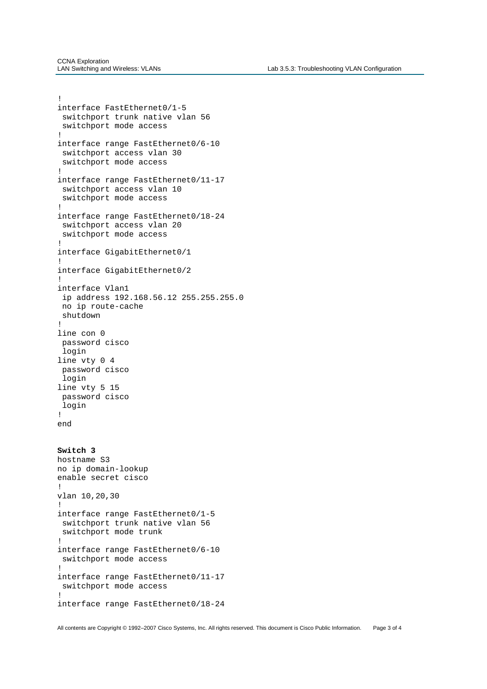Ī

```
! 
interface FastEthernet0/1-5 
  switchport trunk native vlan 56 
  switchport mode access 
! 
interface range FastEthernet0/6-10 
  switchport access vlan 30 
  switchport mode access 
! 
interface range FastEthernet0/11-17 
 switchport access vlan 10 
 switchport mode access 
! 
interface range FastEthernet0/18-24 
  switchport access vlan 20 
  switchport mode access 
! 
interface GigabitEthernet0/1 
! 
interface GigabitEthernet0/2 
! 
interface Vlan1 
  ip address 192.168.56.12 255.255.255.0 
 no ip route-cache 
 shutdown 
! 
line con 0 
 password cisco 
 login 
line vty 0 4 
 password cisco 
 login 
line vty 5 15 
 password cisco 
 login 
! 
end 
Switch 3 
hostname S3 
no ip domain-lookup 
enable secret cisco 
! 
vlan 10,20,30 
! 
interface range FastEthernet0/1-5 
  switchport trunk native vlan 56 
  switchport mode trunk 
! 
interface range FastEthernet0/6-10 
 switchport mode access 
! 
interface range FastEthernet0/11-17 
  switchport mode access 
! 
interface range FastEthernet0/18-24
```